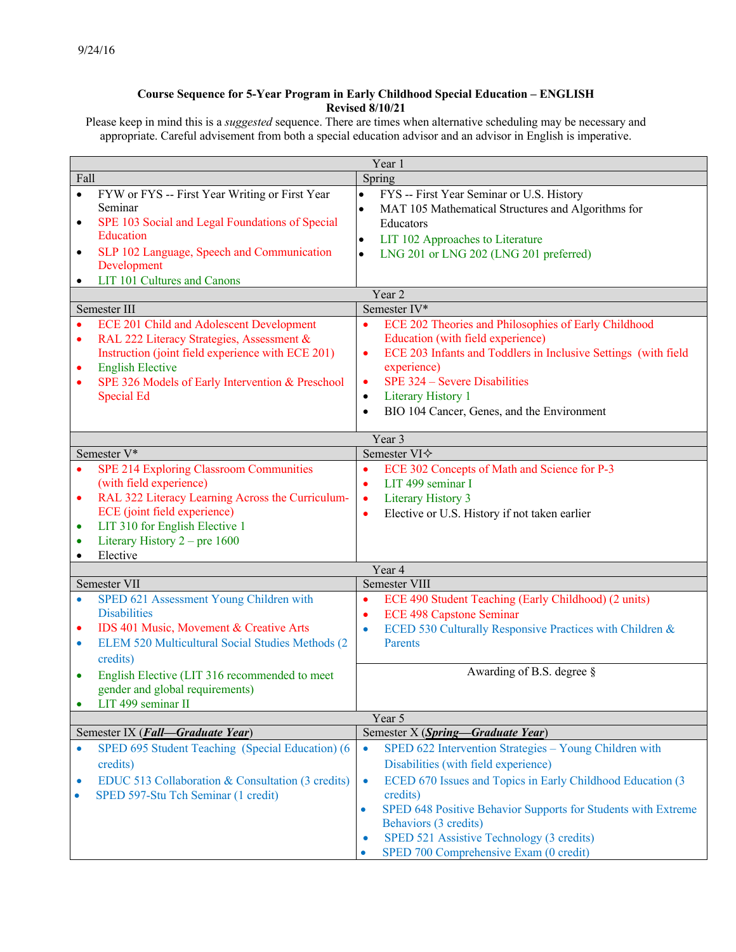## **Course Sequence for 5-Year Program in Early Childhood Special Education – ENGLISH Revised 8/10/21**

Please keep in mind this is a *suggested* sequence. There are times when alternative scheduling may be necessary and appropriate. Careful advisement from both a special education advisor and an advisor in English is imperative.

| Year 1                                                                                                                                                                                                                                                                                                          |                                                                                                                                                                                                                                                                                                                                                                                                                            |
|-----------------------------------------------------------------------------------------------------------------------------------------------------------------------------------------------------------------------------------------------------------------------------------------------------------------|----------------------------------------------------------------------------------------------------------------------------------------------------------------------------------------------------------------------------------------------------------------------------------------------------------------------------------------------------------------------------------------------------------------------------|
| Fall<br>Spring                                                                                                                                                                                                                                                                                                  |                                                                                                                                                                                                                                                                                                                                                                                                                            |
| FYW or FYS -- First Year Writing or First Year<br>$\bullet$<br>Seminar<br>SPE 103 Social and Legal Foundations of Special<br>$\bullet$<br>Education<br>SLP 102 Language, Speech and Communication<br>$\bullet$<br>Development<br>LIT 101 Cultures and Canons<br>$\bullet$                                       | $\bullet$<br>FYS -- First Year Seminar or U.S. History<br>MAT 105 Mathematical Structures and Algorithms for<br>$\bullet$<br>Educators<br>LIT 102 Approaches to Literature<br>$\bullet$<br>LNG 201 or LNG 202 (LNG 201 preferred)<br>$\bullet$                                                                                                                                                                             |
| Year 2                                                                                                                                                                                                                                                                                                          |                                                                                                                                                                                                                                                                                                                                                                                                                            |
| Semester III                                                                                                                                                                                                                                                                                                    | Semester IV*                                                                                                                                                                                                                                                                                                                                                                                                               |
| <b>ECE 201 Child and Adolescent Development</b><br>$\bullet$<br>RAL 222 Literacy Strategies, Assessment &<br>$\bullet$<br>Instruction (joint field experience with ECE 201)<br><b>English Elective</b><br>٠<br>SPE 326 Models of Early Intervention & Preschool<br>$\bullet$<br><b>Special Ed</b>               | ECE 202 Theories and Philosophies of Early Childhood<br>$\bullet$<br>Education (with field experience)<br>ECE 203 Infants and Toddlers in Inclusive Settings (with field<br>$\bullet$<br>experience)<br>SPE 324 – Severe Disabilities<br>$\bullet$<br>Literary History 1<br>$\bullet$<br>BIO 104 Cancer, Genes, and the Environment<br>$\bullet$                                                                           |
| Year 3                                                                                                                                                                                                                                                                                                          |                                                                                                                                                                                                                                                                                                                                                                                                                            |
| Semester V*                                                                                                                                                                                                                                                                                                     | Semester VI $\diamond$                                                                                                                                                                                                                                                                                                                                                                                                     |
| <b>SPE 214 Exploring Classroom Communities</b><br>$\bullet$<br>(with field experience)<br>RAL 322 Literacy Learning Across the Curriculum-<br>$\bullet$<br>ECE (joint field experience)<br>LIT 310 for English Elective 1<br>$\bullet$<br>Literary History $2$ – pre 1600<br>$\bullet$<br>Elective<br>$\bullet$ | ECE 302 Concepts of Math and Science for P-3<br>$\bullet$<br>LIT 499 seminar I<br>$\bullet$<br>Literary History 3<br>$\bullet$<br>Elective or U.S. History if not taken earlier<br>$\bullet$                                                                                                                                                                                                                               |
| Year 4                                                                                                                                                                                                                                                                                                          |                                                                                                                                                                                                                                                                                                                                                                                                                            |
| Semester VII                                                                                                                                                                                                                                                                                                    | Semester VIII                                                                                                                                                                                                                                                                                                                                                                                                              |
| SPED 621 Assessment Young Children with<br>$\bullet$<br><b>Disabilities</b><br>IDS 401 Music, Movement & Creative Arts<br>٠<br>ELEM 520 Multicultural Social Studies Methods (2<br>$\bullet$<br>credits)<br>English Elective (LIT 316 recommended to meet<br>$\bullet$                                          | ECE 490 Student Teaching (Early Childhood) (2 units)<br>$\bullet$<br><b>ECE 498 Capstone Seminar</b><br>$\bullet$<br>ECED 530 Culturally Responsive Practices with Children &<br>$\bullet$<br>Parents<br>Awarding of B.S. degree §                                                                                                                                                                                         |
| gender and global requirements)                                                                                                                                                                                                                                                                                 |                                                                                                                                                                                                                                                                                                                                                                                                                            |
| LIT 499 seminar II                                                                                                                                                                                                                                                                                              | Year 5                                                                                                                                                                                                                                                                                                                                                                                                                     |
| Semester IX (Fall-Graduate Year)                                                                                                                                                                                                                                                                                | Semester X (Spring-Graduate Year)                                                                                                                                                                                                                                                                                                                                                                                          |
| SPED 695 Student Teaching (Special Education) (6<br>$\bullet$<br>credits)<br>EDUC 513 Collaboration & Consultation (3 credits)<br>$\bullet$<br>SPED 597-Stu Tch Seminar (1 credit)<br>$\bullet$                                                                                                                 | SPED 622 Intervention Strategies - Young Children with<br>$\bullet$<br>Disabilities (with field experience)<br>ECED 670 Issues and Topics in Early Childhood Education (3<br>$\bullet$<br>credits)<br>SPED 648 Positive Behavior Supports for Students with Extreme<br>$\bullet$<br>Behaviors (3 credits)<br>SPED 521 Assistive Technology (3 credits)<br>$\bullet$<br>SPED 700 Comprehensive Exam (0 credit)<br>$\bullet$ |